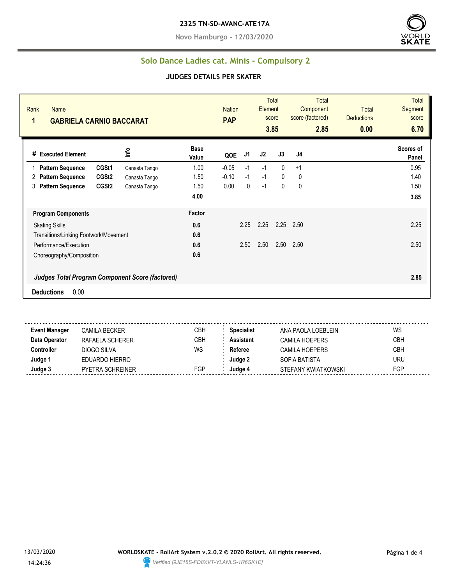**Novo Hamburgo - 12/03/2020**



### **Solo Dance Ladies cat. Minis - Compulsory 2**

#### **JUDGES DETAILS PER SKATER**

| Rank<br>Name<br>1<br><b>GABRIELA CARNIO BACCARAT</b>   |               |                      | <b>Nation</b><br><b>PAP</b> |      | <b>Element</b> | Total<br>score<br>3.85 | <b>Total</b><br>Component<br>score (factored)<br>2.85 | <b>Total</b><br><b>Deductions</b><br>0.00 | <b>Total</b><br>Segment<br>score<br>6.70 |
|--------------------------------------------------------|---------------|----------------------|-----------------------------|------|----------------|------------------------|-------------------------------------------------------|-------------------------------------------|------------------------------------------|
| # Executed Element                                     | Info          | <b>Base</b><br>Value | QOE                         | J1   | J2             | J3                     | J4                                                    |                                           | Scores of<br>Panel                       |
| CGSt1<br><b>Pattern Sequence</b>                       | Canasta Tango | 1.00                 | $-0.05$                     | $-1$ | $-1$           | $\Omega$               | $+1$                                                  |                                           | 0.95                                     |
| CGSt <sub>2</sub><br><b>Pattern Sequence</b><br>2      | Canasta Tango | 1.50                 | $-0.10$                     | $-1$ | $-1$           | $\Omega$               | 0                                                     |                                           | 1.40                                     |
| CGSt <sub>2</sub><br><b>Pattern Sequence</b><br>3      | Canasta Tango | 1.50                 | 0.00                        | 0    | $-1$           | 0                      | 0                                                     |                                           | 1.50                                     |
|                                                        |               | 4.00                 |                             |      |                |                        |                                                       |                                           | 3.85                                     |
| <b>Program Components</b>                              |               | Factor               |                             |      |                |                        |                                                       |                                           |                                          |
| <b>Skating Skills</b>                                  |               | 0.6                  |                             | 2.25 | 2.25           |                        | $2.25$ $2.50$                                         |                                           | 2.25                                     |
| Transitions/Linking Footwork/Movement                  |               | 0.6                  |                             |      |                |                        |                                                       |                                           |                                          |
| Performance/Execution                                  |               | 0.6                  |                             | 2.50 | 2.50           | 2.50                   | 2.50                                                  |                                           | 2.50                                     |
| Choreography/Composition                               |               | 0.6                  |                             |      |                |                        |                                                       |                                           |                                          |
| <b>Judges Total Program Component Score (factored)</b> |               |                      |                             |      |                |                        |                                                       |                                           | 2.85                                     |
| 0.00<br><b>Deductions</b>                              |               |                      |                             |      |                |                        |                                                       |                                           |                                          |

**Event Manager** CAMILA BECKER CBH **Specialist** ANA PAOLA LOEBLEIN WS **Data Operator** RAFAELA SCHERER CBH **Assistant** CAMILA HOEPERS CBH **Controller** DIOGO SILVA WS Referee CAMILA HOEPERS CBH **Judge 1** EDUARDO HIERRO **Judge 2** SOFIA BATISTA URU **Judge 3** PYETRA SCHREINER FGP **Judge 4** STEFANY KWIATKOWSKI FGP

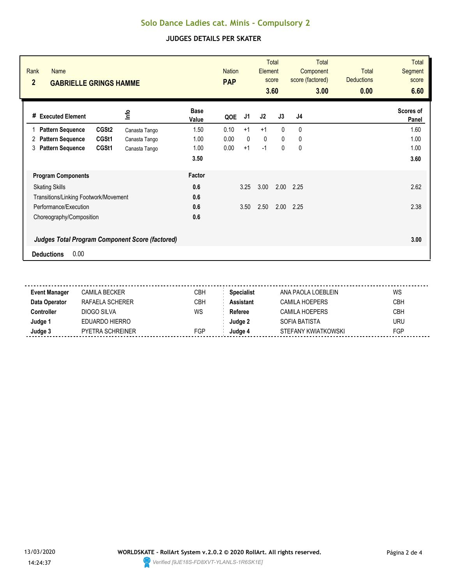# **Solo Dance Ladies cat. Minis - Compulsory 2**

### **JUDGES DETAILS PER SKATER**

| Rank<br><b>Name</b><br>$\overline{2}$<br><b>GABRIELLE GRINGS HAMME</b> |               |                      | <b>Nation</b><br><b>PAP</b> |              | Element | <b>Total</b><br>score<br>3.60 | Total<br>Component<br>score (factored)<br>3.00 | <b>Total</b><br><b>Deductions</b><br>0.00 | <b>Total</b><br><b>Segment</b><br>score<br>6.60 |
|------------------------------------------------------------------------|---------------|----------------------|-----------------------------|--------------|---------|-------------------------------|------------------------------------------------|-------------------------------------------|-------------------------------------------------|
| <b>Executed Element</b><br>#                                           | <u>nfo</u>    | <b>Base</b><br>Value | QOE                         | J1           | J2      | J3                            | J4                                             |                                           | Scores of<br>Panel                              |
| CGSt <sub>2</sub><br><b>Pattern Sequence</b>                           | Canasta Tango | 1.50                 | 0.10                        | $+1$         | $+1$    | $\mathbf{0}$                  | $\mathbf{0}$                                   |                                           | 1.60                                            |
| CGSt1<br><b>Pattern Sequence</b><br>2                                  | Canasta Tango | 1.00                 | 0.00                        | $\mathbf{0}$ | 0       | $\mathbf{0}$                  | 0                                              |                                           | 1.00                                            |
| <b>Pattern Sequence</b><br>CGSt1<br>3                                  | Canasta Tango | 1.00                 | 0.00                        | $+1$         | $-1$    | 0                             | 0                                              |                                           | 1.00                                            |
|                                                                        |               | 3.50                 |                             |              |         |                               |                                                |                                           | 3.60                                            |
| <b>Program Components</b>                                              |               | Factor               |                             |              |         |                               |                                                |                                           |                                                 |
| <b>Skating Skills</b>                                                  |               | 0.6                  |                             | 3.25         | 3.00    | 2.00                          | 2.25                                           |                                           | 2.62                                            |
| Transitions/Linking Footwork/Movement                                  |               | 0.6                  |                             |              |         |                               |                                                |                                           |                                                 |
| Performance/Execution                                                  |               | 0.6                  |                             | 3.50         | 2.50    | 2.00                          | 2.25                                           |                                           | 2.38                                            |
| Choreography/Composition                                               |               | 0.6                  |                             |              |         |                               |                                                |                                           |                                                 |
| <b>Judges Total Program Component Score (factored)</b>                 |               |                      |                             |              |         |                               |                                                |                                           | 3.00                                            |
| 0.00<br><b>Deductions</b>                                              |               |                      |                             |              |         |                               |                                                |                                           |                                                 |

| <b>Event Manager</b> | CAMILA BECKER    | CBH        | <b>Specialist</b> | ANA PAOLA LOEBLEIN  | WS         |
|----------------------|------------------|------------|-------------------|---------------------|------------|
| Data Operator        | RAFAFI A SCHFRFR | CBH        | Assistant         | CAMILA HOFPFRS      | <b>CBH</b> |
| :ontroller           | DIOGO SILVA      | WS         | Referee           | CAMILA HOFPFRS      | CBH        |
| Judge 1              | EDUARDO HIERRO   |            | Judae 2           | SOFIA BATISTA       | <b>URU</b> |
| Judge 3              | PYETRA SCHREINER | <b>FGP</b> | Judae 4           | STEFANY KWIATKOWSKI | FGP        |
|                      |                  |            |                   |                     |            |

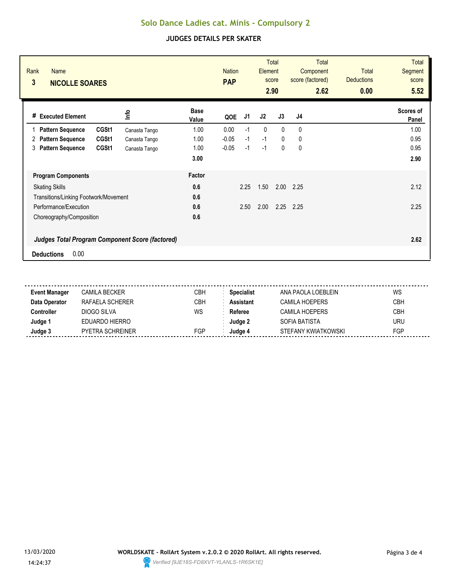## **Solo Dance Ladies cat. Minis - Compulsory 2**

### **JUDGES DETAILS PER SKATER**

| Rank<br><b>Name</b><br>3<br><b>NICOLLE SOARES</b> |               |                      | <b>Nation</b><br><b>PAP</b> |      | Element      | <b>Total</b><br>score<br>2.90 | <b>Total</b><br>Component<br>score (factored)<br>2.62 | <b>Total</b><br><b>Deductions</b><br>0.00 | <b>Total</b><br>Segment<br>score<br>5.52 |
|---------------------------------------------------|---------------|----------------------|-----------------------------|------|--------------|-------------------------------|-------------------------------------------------------|-------------------------------------------|------------------------------------------|
| # Executed Element                                | <b>Info</b>   | <b>Base</b><br>Value | QOE                         | J1   | J2           | J3                            | J <sub>4</sub>                                        |                                           | Scores of<br>Panel                       |
| CGSt1<br><b>Pattern Sequence</b><br>$\mathbf{1}$  | Canasta Tango | 1.00                 | 0.00                        | $-1$ | $\mathbf{0}$ | $\mathbf{0}$                  | 0                                                     |                                           | 1.00                                     |
| <b>Pattern Sequence</b><br>CGSt1<br>2             | Canasta Tango | 1.00                 | $-0.05$                     | $-1$ | $-1$         | $\mathbf{0}$                  | 0                                                     |                                           | 0.95                                     |
| <b>Pattern Sequence</b><br>CGSt1<br>3             | Canasta Tango | 1.00                 | $-0.05$                     | $-1$ | $-1$         | 0                             | 0                                                     |                                           | 0.95                                     |
|                                                   |               | 3.00                 |                             |      |              |                               |                                                       |                                           | 2.90                                     |
| <b>Program Components</b>                         |               | Factor               |                             |      |              |                               |                                                       |                                           |                                          |
| <b>Skating Skills</b>                             |               | 0.6                  |                             | 2.25 | 1.50         | 2.00                          | 2.25                                                  |                                           | 2.12                                     |
| Transitions/Linking Footwork/Movement             |               | 0.6                  |                             |      |              |                               |                                                       |                                           |                                          |
| Performance/Execution                             |               | 0.6                  |                             | 2.50 | 2.00         | 2.25                          | 2.25                                                  |                                           | 2.25                                     |
| Choreography/Composition                          |               | 0.6                  |                             |      |              |                               |                                                       |                                           |                                          |
| Judges Total Program Component Score (factored)   |               |                      |                             |      |              |                               |                                                       |                                           | 2.62                                     |
| 0.00<br><b>Deductions</b>                         |               |                      |                             |      |              |                               |                                                       |                                           |                                          |

| <b>Event Manager</b> | CAMILA BECKER    | СВН        | <b>Specialist</b> | ANA PAOLA LOFBLEIN    | WS         |
|----------------------|------------------|------------|-------------------|-----------------------|------------|
| Data Operator        | RAFAELA SCHERER  | <b>CBH</b> | Assistant         | <b>CAMILA HOEPERS</b> | <b>CBH</b> |
| :cntroller           | DIOGO SILVA      | WS         | Referee           | CAMILA HOEPERS        | <b>CBH</b> |
| Judge '              | EDUARDO HIERRO   |            | Judae 2           | SOFIA BATISTA         | <b>URU</b> |
| Judge 3              | PYETRA SCHREINER | <b>FGP</b> | Judae 4           | STEFANY KWIATKOWSKI   | FGP        |
|                      |                  |            |                   |                       |            |